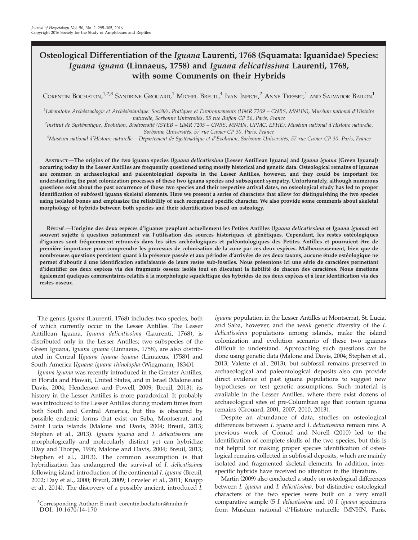# Osteological Differentiation of the Iguana Laurenti, 1768 (Squamata: Iguanidae) Species: Iguana iguana (Linnaeus, 1758) and Iguana delicatissima Laurenti, 1768, with some Comments on their Hybrids

CORENTIN BOCHATON, $^{1,2,3}$  Sandrine Grouard, $^{1}$  Michel Breuil, $^{4}$  Ivan Ineich, $^{2}$  Anne Tresset, $^{1}$  and Salvador Bailon $^{1}$ 

<sup>1</sup>Laboratoire Archéozoologie et Archéobotanique: Sociétés, Pratiques et Environnements (UMR 7209 – CNRS, MNHN), Muséum national d'Histoire

naturelle, Sorbonne Universités, 55 rue Buffon CP 56, Paris, France<br>Institut de Systématique, Évolution, Biodiversité (ISYEB – UMR 7205 – CNRS, MNHN, UPMC, EPHE), Muséum national d'Histoire naturelle,

Sorbonne Universités, 57 rue Cuvier CP 30, Paris, France<br>Muséum national d'Histoire naturelle – Département de Systématique et d'Evolution, Sorbonne Universités, 57 rue Cuvier CP 30, Paris, France

ABSTRACT.—The origins of the two iguana species (Iguana delicatissima [Lesser Antillean Iguana] and Iguana iguana [Green Iguana]) occurring today in the Lesser Antilles are frequently questioned using mostly historical and genetic data. Osteological remains of iguanas are common in archaeological and paleontological deposits in the Lesser Antilles, however, and they could be important for understanding the past colonization processes of these two iguana species and subsequent sympatry. Unfortunately, although numerous questions exist about the past occurrence of those two species and their respective arrival dates, no osteological study has led to proper identification of subfossil iguana skeletal elements. Here we present a series of characters that allow for distinguishing the two species using isolated bones and emphasize the reliability of each recognized specific character. We also provide some comments about skeletal morphology of hybrids between both species and their identification based on osteology.

RÉSUMÉ.-L'origine des deux espèces d'iguanes peuplant actuellement les Petites Antilles (Iguana delicatissima et Iguana iguana) est souvent sujette à question notamment via l'utilisation des sources historiques et génétiques. Cependant, les restes ostéologiques d'iguanes sont fréquemment retrouvés dans les sites archéologiques et paléontologiques des Petites Antilles et pourraient être de première importance pour comprendre les processus de colonisation de la zone par ces deux espèces. Malheureusement, bien que de nombreuses questions persistent quant à la présence passée et aux périodes d'arrivées de ces deux taxons, aucune étude ostéologique ne permet d'aboutir à une identification satisfaisante de leurs restes sub-fossiles. Nous présentons ici une série de caractères permettant d'identifier ces deux espèces via des fragments osseux isolés tout en discutant la fiabilité de chacun des caractères. Nous émettons également quelques commentaires relatifs à la morphologie squelettique des hybrides de ces deux espèces et à leur identification via des restes osseux.

The genus Iguana (Laurenti, 1768) includes two species, both of which currently occur in the Lesser Antilles. The Lesser Antillean Iguana, Iguana delicatissima (Laurenti, 1768), is distributed only in the Lesser Antilles; two subspecies of the Green Iguana, Iguana iguana (Linnaeus, 1758), are also distributed in Central [Iguana iguana iguana (Linnaeus, 1758)] and South America [Iguana iguana rhinolopha (Wiegmann, 1834)].

Iguana iguana was recently introduced in the Greater Antilles, in Florida and Hawaii, United States, and in Israel (Malone and Davis, 2004; Henderson and Powell, 2009; Breuil, 2013); its history in the Lesser Antilles is more paradoxical. It probably was introduced to the Lesser Antilles during modern times from both South and Central America, but this is obscured by possible endemic forms that exist on Saba, Montserrat, and Saint Lucia islands (Malone and Davis, 2004; Breuil, 2013; Stephen et al., 2013). Iguana iguana and I. delicatissima are morphologically and molecularly distinct yet can hybridize (Day and Thorpe, 1996; Malone and Davis, 2004; Breuil, 2013; Stephen et al., 2013). The common assumption is that hybridization has endangered the survival of I. delicatissima following island introduction of the continental I. iguana (Breuil, 2002; Day et al., 2000; Breuil, 2009; Lorvelec et al., 2011; Knapp et al., 2014). The discovery of a possibly ancient, introduced I.

iguana population in the Lesser Antilles at Montserrat, St. Lucia, and Saba, however, and the weak genetic diversity of the I. delicatissima populations among islands, make the island colonization and evolution scenario of these two iguanas difficult to understand. Approaching such questions can be done using genetic data (Malone and Davis, 2004; Stephen et al., 2013; Valette et al., 2013), but subfossil remains preserved in archaeological and paleontological deposits also can provide direct evidence of past iguana populations to suggest new hypotheses or test genetic assumptions. Such material is available in the Lesser Antilles, where there exist dozens of archaeological sites of pre-Columbian age that contain iguana remains (Grouard, 2001, 2007, 2010, 2013).

Despite an abundance of data, studies on osteological differences between I. iguana and I. delicatissima remain rare. A previous work of Conrad and Norell (2010) led to the identification of complete skulls of the two species, but this is not helpful for making proper species identification of osteological remains collected in subfossil deposits, which are mainly isolated and fragmented skeletal elements. In addition, interspecific hybrids have received no attention in the literature.

Martin (2009) also conducted a study on osteological differences between I. iguana and I. delicatissima, but distinctive osteological characters of the two species were built on a very small comparative sample (5 I. delicatissima and 10 I. iguana specimens from Muséum national d'Histoire naturelle [MNHN, Paris,

<sup>&</sup>lt;sup>3</sup>Corresponding Author: E-mail: corentin.bochaton@mnhn.fr DOI: 10.1670/14-170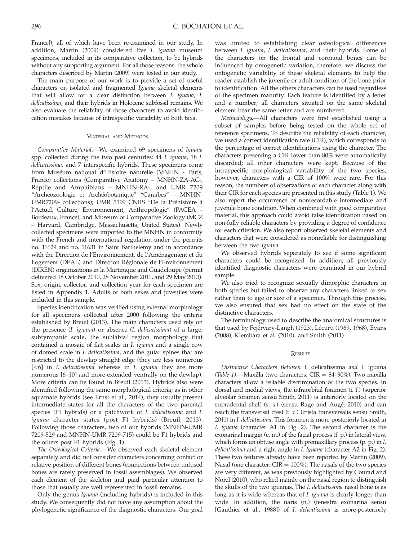France]), all of which have been re-examined in our study. In addition, Martin (2009) considered five I. iguana museum specimens, included in its comparative collection, to be hybrids without any supporting argument. For all those reasons, the whole characters described by Martin (2009) were tested in our study.

The main purpose of our work is to provide a set of useful characters on isolated and fragmented Iguana skeletal elements that will allow for a clear distinction between I. iguana, I. delicatissima, and their hybrids in Holocene subfossil remains. We also evaluate the reliability of those characters to avoid identification mistakes because of intraspecific variability of both taxa.

### MATERIAL AND METHODS

Comparative Material.—We examined 69 specimens of Iguana spp. collected during the two past centuries: 44 I. iguana, 18 I. delicatissima, and 7 interspecific hybrids. These specimens come from Muséum national d'Histoire naturelle (MNHN - Paris, France) collections (Comparative Anatomy – MNHN-ZA-AC-, Reptile and Amphibians – MNHN-RA-, and UMR 7209 "Archéozoologie et Archéobotanique" "Caraïbes" - MNHN-UMR7209- collections); UMR 5199 CNRS "De la Préhistoire à l'Actuel, Culture, Environnement, Anthropologie'' (PACEA – Bordeaux, France), and Museum of Comparative Zoology (MCZ – Harvard, Cambridge, Massachusetts, United States). Newly collected specimens were imported to the MNHN in conformity with the French and international regulation under the permits no. 11629 and no. 11631 in Saint Barthelemy and in accordance with the Direction de l'Environnement, de l'Aménagement et du Logement (DEAL) and Direction Régionale de l'Environnement (DIREN) organizations in la Martinique and Guadeloupe (permit delivered 18 October 2010, 28 November 2011, and 29 May 2013). Sex, origin, collector, and collection year for each specimen are listed in Appendix 1. Adults of both sexes and juveniles were included in this sample.

Species identification was verified using external morphology for all specimens collected after 2000 following the criteria established by Breuil (2013). The main characters used rely on the presence (I. iguana) or absence (I. delicatissima) of a large, subtympanic scale, the sublabial region morphology that contained a mosaic of flat scales in I. iguana and a single row of domed scale in I. delicatissima, and the gular spines that are restricted to the dewlap straight edge (they are less numerous [<6] in I. delicatissima whereas in I. iguana they are more numerous [6–10] and more-extended ventrally on the dewlap). More criteria can be found in Breuil (2013). Hybrids also were identified following the same morphological criteria; as in other squamate hybrids (see Ernst et al., 2014), they usually present intermediate states for all the characters of the two parental species (F1 hybrids) or a patchwork of I. delicatissima and I. iguana character states (post F1 hybrids) (Breuil, 2013). Following those characters, two of our hybrids (MNHN-UMR 7209-529 and MNHN-UMR 7209-715) could be F1 hybrids and the others post F1 hybrids (Fig. 1).

The Osteological Criteria.—We observed each skeletal element separately and did not consider characters concerning contact or relative position of different bones (connections between unfused bones are rarely preserved in fossil assemblages). We observed each element of the skeleton and paid particular attention to those that usually are well represented in fossil remains.

Only the genus Iguana (including hybrids) is included in this study. We consequently did not have any assumption about the phylogenetic significance of the diagnostic characters. Our goal

was limited to establishing clear osteological differences between I. iguana, I. delicatissima, and their hybrids. Some of the characters on the frontal and coronoid bones can be influenced by ontogenetic variation; therefore, we discuss the ontogenetic variability of these skeletal elements to help the reader establish the juvenile or adult condition of the bone prior to identification. All the others characters can be used regardless of the specimen maturity. Each feature is identified by a letter and a number; all characters situated on the same skeletal element bear the same letter and are numbered.

Methodology.—All characters were first established using a subset of samples before being tested on the whole set of reference specimens. To describe the reliability of each character, we used a correct identification rate (CIR), which corresponds to the percentage of correct identifications using the character. The characters presenting a CIR lower than 80% were automatically discarded; all other characters were kept. Because of the intraspecific morphological variability of the two species, however, characters with a CIR of 100% were rare. For this reason, the numbers of observations of each character along with their CIR for each species are presented in this study (Table 1). We also report the occurrence of nonrecordable intermediate and juvenile bone condition. When combined with good comparative material, this approach could avoid false identification based on non-fully reliable characters by providing a degree of confidence for each criterion. We also report observed skeletal elements and characters that were considered as nonreliable for distinguishing between the two Iguana.

We observed hybrids separately to see if some significant characters could be recognized. In addition, all previously identified diagnostic characters were examined in our hybrid sample.

We also tried to recognize sexually dimorphic characters in both species but failed to observe any characters linked to sex rather than to age or size of a specimen. Through this process, we also ensured that sex had no effect on the state of the distinctive characters.

The terminology used to describe the anatomical structures is that used by Fejérvary-Langh (1923), Lécuru (1969, 1968), Evans (2008), Klembara et al. (2010), and Smith (2011).

### **RESULTS**

Distinctive Characters Between I. delicatissima and I. iguana (Table 1).—Maxilla (two characters:  $CIR = 84-90\%$ ): Two maxilla characters allow a reliable discrimination of the two species. In dorsal and medial views, the infraorbital foramen (i. f.) (superior alveolar foramen sensu Smith, 2011) is anteriorly located on the supradental shelf (s. s.) (sensu Rage and Augé, 2010) and can reach the transversal crest (t. c.) (crista transversalis sensu Smith, 2011) in I. delicatissima. This foramen is more-posteriorly located in I. iguana (character A1 in Fig. 2). The second character is the exonarinal margin (e. m.) of the facial process (f. p.) in lateral view, which forms an obtuse angle with premaxillary process (p. p.) in I. delicatissima and a right angle in I. Iguana (character A2 in Fig. 2). These two features already have been reported by Martin (2009). Nasal (one character:  $CIR = 100\%$ ): The nasals of the two species are very different, as was previously highlighted by Conrad and Norel (2010), who relied mainly on the nasal region to distinguish the skulls of the two iguanas. The I. delicatissima nasal bone is as long as it is wide whereas that of *I. iguana* is clearly longer than wide. In addition, the naris (n.) (fenestra exonarina sensu [Gauthier et al., 1988]) of I. delicatissima is more-posteriorly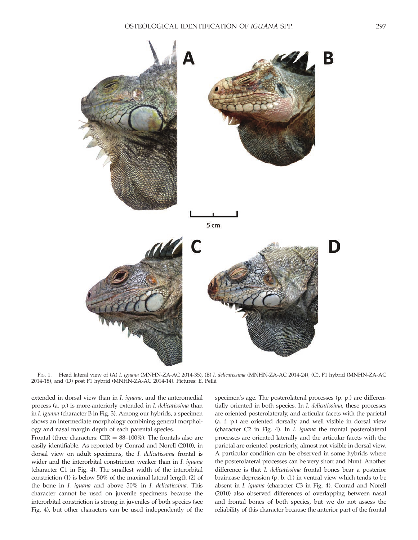

FIG. 1. Head lateral view of (A) I. iguana (MNHN-ZA-AC 2014-35), (B) I. delicatissima (MNHN-ZA-AC 2014-24), (C), F1 hybrid (MNHN-ZA-AC 2014-18), and (D) post F1 hybrid (MNHN-ZA-AC 2014-14). Pictures: E. Pellé.

extended in dorsal view than in I. iguana, and the anteromedial process (a. p.) is more-anteriorly extended in I. delicatissima than in I. iguana (character B in Fig. 3). Among our hybrids, a specimen shows an intermediate morphology combining general morphology and nasal margin depth of each parental species.

Frontal (three characters:  $CIR = 88-100\%$ ): The frontals also are easily identifiable. As reported by Conrad and Norell (2010), in dorsal view on adult specimens, the I. delicatissima frontal is wider and the interorbital constriction weaker than in *I. iguana* (character C1 in Fig. 4). The smallest width of the interorbital constriction (1) is below 50% of the maximal lateral length (2) of the bone in I. iguana and above 50% in I. delicatissima. This character cannot be used on juvenile specimens because the interorbital constriction is strong in juveniles of both species (see Fig. 4), but other characters can be used independently of the

specimen's age. The posterolateral processes (p. p.) are differentially oriented in both species. In I. delicatissima, these processes are oriented posterolateraly, and articular facets with the parietal (a. f. p.) are oriented dorsally and well visible in dorsal view (character C2 in Fig. 4). In I. iguana the frontal posterolateral processes are oriented laterally and the articular facets with the parietal are oriented posteriorly, almost not visible in dorsal view. A particular condition can be observed in some hybrids where the posterolateral processes can be very short and blunt. Another difference is that I. delicatissima frontal bones bear a posterior braincase depression (p. b. d.) in ventral view which tends to be absent in I. iguana (character C3 in Fig. 4). Conrad and Norell (2010) also observed differences of overlapping between nasal and frontal bones of both species, but we do not assess the reliability of this character because the anterior part of the frontal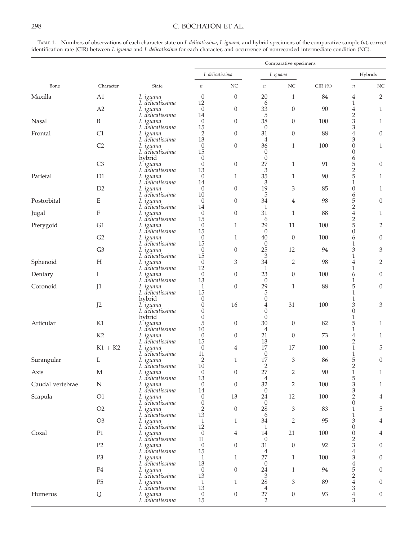## 298 C. BOCHATON ET AL.

TABLE 1. Numbers of observations of each character state on I. delicatissima, I. iguana, and hybrid specimens of the comparative sample (n), correct identification rate (CIR) between I. iguana and I. delicatissima for each character, and occurrence of nonrecorded intermediate condition (NC).

|                  | Character                 |                               | Comparative specimens    |                  |                       |                             |           |                                    |                  |
|------------------|---------------------------|-------------------------------|--------------------------|------------------|-----------------------|-----------------------------|-----------|------------------------------------|------------------|
| Bone             |                           | State                         | I. delicatissima         |                  | I. iguana             |                             |           | Hybrids                            |                  |
|                  |                           |                               | $\it n$                  | NC               | $\it n$               | NC                          | $CIR(\%)$ | $\it n$                            | NC               |
| Maxilla          | A1                        | 1. iguana                     | $\theta$                 | $\boldsymbol{0}$ | 20                    | $\mathbf{1}$                | 84        | 4                                  | $\sqrt{2}$       |
|                  | A2                        | I. delicatissima<br>I. iguana | 12<br>$\mathbf{0}$       | $\boldsymbol{0}$ | 6<br>33               | $\boldsymbol{0}$            | 90        | 1<br>4                             | $\mathbf{1}$     |
| Nasal            | B                         | I. delicatissima<br>I. iguana | 14<br>$\mathbf{0}$       | $\boldsymbol{0}$ | 5<br>38               | $\theta$                    | 100       | $\overline{c}$<br>3                | $\mathbf{1}$     |
| Frontal          | C <sub>1</sub>            | I. delicatissima<br>I. iguana | 15<br>$\overline{2}$     | $\boldsymbol{0}$ | $\theta$<br>31        | $\theta$                    | 88        | 3<br>4                             | $\boldsymbol{0}$ |
|                  | C <sub>2</sub>            | I. delicatissima              | 13                       |                  | 4                     |                             |           | 3                                  |                  |
|                  |                           | I. iguana<br>I. delicatissima | $\theta$<br>15           | $\boldsymbol{0}$ | 36<br>$\theta$        | $\mathbf{1}$                | 100       | $\boldsymbol{0}$<br>$\overline{0}$ | $\mathbf{1}$     |
|                  | C <sub>3</sub>            | hybrid<br>I. iguana           | $\theta$<br>$\theta$     | $\boldsymbol{0}$ | $\theta$<br>27        | 1                           | 91        | 6<br>5                             | $\boldsymbol{0}$ |
| Parietal         | D1                        | I. delicatissima<br>I. iguana | 13<br>$\theta$           | $\mathbf{1}$     | 3<br>35               | $\mathbf{1}$                | 90        | $\overline{c}$<br>5                | $\mathbf{1}$     |
|                  |                           | I. delicatissima              | 14                       |                  | 3                     |                             |           | 1                                  |                  |
|                  | D2                        | I. iguana<br>I. delicatissima | $\theta$<br>10           | $\boldsymbol{0}$ | 19<br>5               | 3                           | 85        | $\boldsymbol{0}$<br>6              | $\mathbf{1}$     |
| Postorbital      | E                         | I. iguana<br>I. delicatissima | $\theta$<br>14           | $\overline{0}$   | 34<br>1               | 4                           | 98        | 5<br>$\overline{c}$                | $\theta$         |
| Jugal            | $\boldsymbol{\mathrm{F}}$ | I. iguana                     | $\theta$                 | $\boldsymbol{0}$ | 31                    | $\mathbf{1}$                | 88        | $\overline{4}$                     | 1                |
| Pterygoid        | G1                        | I. delicatissima<br>I. iguana | 15<br>$\theta$           | $\mathbf{1}$     | 6<br>29               | 11                          | 100       | $\overline{2}$<br>5                | $\overline{2}$   |
|                  | G2                        | I. delicatissima<br>I. iguana | 15<br>$\theta$           | 1                | $\theta$<br>40        | $\theta$                    | 100       | $\boldsymbol{0}$<br>6              | $\theta$         |
|                  | G <sub>3</sub>            | I. delicatissima<br>I. iguana | 15<br>$\theta$           | $\boldsymbol{0}$ | $\theta$<br>25        | 12                          | 94        | 1<br>3                             | 3                |
|                  |                           | I. delicatissima              | 15                       |                  | 3                     |                             |           | 1                                  |                  |
| Sphenoid         | $H_{\rm}$                 | I. iguana<br>I. delicatissima | $\theta$<br>12           | 3                | 34<br>1               | 2                           | 98        | 4<br>1                             | $\overline{2}$   |
| Dentary          | I                         | 1. iguana<br>I. delicatissima | $\theta$<br>13           | $\boldsymbol{0}$ | 23<br>$\theta$        | $\boldsymbol{0}$            | 100       | 6<br>1                             | $\boldsymbol{0}$ |
| Coronoid         | J1                        | I. iguana                     | 1                        | $\boldsymbol{0}$ | 29                    | 1                           | 88        | 5                                  | $\theta$         |
|                  |                           | I. delicatissima<br>hybrid    | 15<br>$\theta$           |                  | 5<br>$\boldsymbol{0}$ |                             |           | 1<br>1                             |                  |
|                  | J2                        | I. iguana<br>I. delicatissima | $\theta$<br>$\theta$     | 16               | 4<br>0                | 31                          | 100       | 3<br>$\boldsymbol{0}$              | 3                |
| Articular        |                           | hybrid                        | $\theta$                 |                  | $\mathbf{0}$          |                             |           | 1<br>5                             |                  |
|                  | K1                        | 1. iguana<br>I. delicatissima | 5<br>10                  | $\boldsymbol{0}$ | 30<br>4               | $\theta$                    | 82        | 1                                  | $\mathbf{1}$     |
|                  | K <sub>2</sub>            | 1. iguana<br>I. delicatissima | $\theta$<br>15           | $\boldsymbol{0}$ | 21<br>13              | $\theta$                    | 73        | 4<br>2                             | $\mathbf{1}$     |
|                  | $K1 + K2$                 | 1. iguana<br>I. delicatissima | $\theta$<br>11           | 4                | 17<br>$\theta$        | 17                          | 100       | 1<br>1                             | $\mathbf 5$      |
| Surangular       | L                         | I. iguana                     | $\overline{2}$           | $\mathbf{1}$     | 17                    | 3                           | 86        | 5                                  | $\mathbf{0}$     |
| Axis             | M                         | I. delicatissima<br>I. iguana | 10<br>$\theta$           | $\boldsymbol{0}$ | $\overline{2}$<br>27  | $\overline{2}$              | 90        | $\overline{2}$<br>$\,1\,$          | $\mathbf{1}$     |
| Caudal vertebrae | N                         | I. delicatissima<br>I. iguana | 13<br>$\mathbf{0}$       | $\boldsymbol{0}$ | $\overline{4}$<br>32  | 2                           | 100       | 5<br>3                             | 1                |
|                  |                           | I. delicatissima              | 14                       |                  | $\theta$              |                             |           | 3                                  |                  |
| Scapula          | O1                        | I. iguana<br>I. delicatissima | $\mathbf{0}$<br>$\theta$ | 13               | 24<br>$\overline{0}$  | 12                          | 100       | $\overline{2}$<br>$\theta$         | $\overline{4}$   |
|                  | O2                        | I. iguana<br>I. delicatissima | $\overline{2}$<br>13     | $\boldsymbol{0}$ | 28<br>6               | $\ensuremath{\mathfrak{Z}}$ | 83        | 1<br>1                             | $\mathbf 5$      |
|                  | O <sub>3</sub>            | I. iguana<br>I. delicatissima | $\mathbf{1}$<br>12       | $\mathbf{1}$     | 34<br>1               | $\overline{2}$              | 95        | 3<br>$\theta$                      | $\overline{4}$   |
| Coxal            | P1                        | I. iguana                     | $\theta$                 | $\overline{4}$   | 14                    | 21                          | 100       | $\boldsymbol{0}$                   | $\overline{4}$   |
|                  | P2                        | I. delicatissima<br>I. iguana | 11<br>$\theta$           | $\boldsymbol{0}$ | $\theta$<br>31        | $\theta$                    | 92        | $\overline{c}$<br>3                | $\boldsymbol{0}$ |
|                  | P <sub>3</sub>            | I. delicatissima<br>I. iguana | 15<br>$\mathbf{1}$       | $\mathbf{1}$     | 4<br>27               | 1                           | 100       | 4<br>3                             | $\boldsymbol{0}$ |
|                  |                           | I. delicatissima              | 13                       |                  | $\theta$              |                             |           | $\overline{4}$                     |                  |
|                  | P <sub>4</sub>            | I. iguana<br>I. delicatissima | $\theta$<br>13           | $\overline{0}$   | 24<br>3               | 1                           | 94        | 5<br>$\overline{2}$                | $\boldsymbol{0}$ |
|                  | P <sub>5</sub>            | I. iguana<br>I. delicatissima | $\mathbf{1}$<br>13       | $\mathbf{1}$     | $28\,$<br>4           | 3                           | 89        | $\overline{4}$<br>3                | $\mathbf{0}$     |
| Humerus          | Q                         | I. iguana<br>I. delicatissima | $\mathbf{0}$<br>$15\,$   | $\boldsymbol{0}$ | $27\,$<br>$\sqrt{2}$  | $\boldsymbol{0}$            | 93        | $\overline{\mathbf{4}}$<br>3       | $\boldsymbol{0}$ |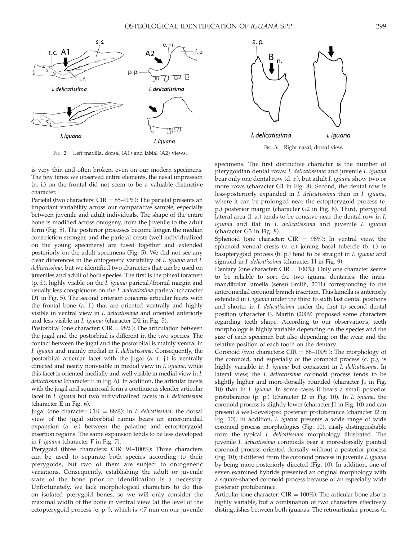



FIG. 3. Right nasal, dorsal view.

FIG. 2. Left maxilla, dorsal (A1) and labial (A2) views.

is very thin and often broken, even on our modern specimens. The few times we observed entire elements, the nasal impression (n. i.) on the frontal did not seem to be a valuable distinctive character.

Parietal (two characters:  $CIR = 85-90\%$ ): The parietal presents an important variability across our comparative sample, especially between juvenile and adult individuals. The shape of the entire bone is modified across ontogeny, from the juvenile to the adult form (Fig. 5). The posterior processes become longer, the median constriction stronger, and the parietal crests (well individualized on the young specimens) are fused together and extended posteriorly on the adult specimens (Fig. 5). We did not see any clear differences in the ontogenetic variability of I. iguana and I. delicatissima, but we identified two characters that can be used on juveniles and adult of both species. The first is the pineal foramen (p. f.), highly visible on the I. iguana parietal/frontal margin and usually less conspicuous on the I. delicatissima parietal (character D1 in Fig. 5). The second criterion concerns articular facets with the frontal bone (a. f.) that are oriented ventrally and highly visible in ventral view in I. delicatissima and oriented anteriorly and less visible in I. iguana (character D2 in Fig. 5).

Postorbital (one character:  $CIR = 98\%$ ): The articulation between the jugal and the postorbital is different in the two species. The contact between the jugal and the postorbital is mainly ventral in I. iguana and mainly medial in I. delicatissima. Consequently, the postorbital articular facet with the jugal (a. f. j.) is ventrally directed and nearly nonvisible in medial view in I. iguana, while this facet is oriented medially and well visible in medial view in I. delicatissima (character E in Fig. 6). In addition, the articular facets with the jugal and squamosal form a continuous slender articular facet in I. iguana but two individualized facets in I. delicatissima (character E in Fig. 6).

Jugal (one character:  $CIR = 88\%$ ): In *I. delicatissima*, the dorsal view of the jugal suborbital ramus bears an anteromedial expansion (a. e.) between the palatine and ectopterygoid insertion regions. The same expansion tends to be less developed in I. iguana (character F in Fig. 7).

Pterygoid (three characters: CIR=94–100%): Three characters can be used to separate both species according to their pterygoids, but two of them are subject to ontogenetic variations. Consequently, establishing the adult or juvenile state of the bone prior to identification is a necessity. Unfortunately, we lack morphological characters to do this on isolated pterygoid bones, so we will only consider the maximal width of the bone in ventral view (at the level of the ectopterygoid process [e. p.]), which is <7 mm on our juvenile

specimens. The first distinctive character is the number of pterygoidian dental rows: I. delicatissima and juvenile I. iguana bear only one dental row (d. r.), but adult I. iguana show two or more rows (character G1 in Fig. 8). Second, the dental row is less-posteriorly expanded in I. delicatissima than in I. iguana, where it can be prolonged near the ectopterygoid process (e. p.) posterior margin (character G2 in Fig. 8). Third, pterygoid lateral area (l. a.) tends to be concave near the dental row in I. iguana and flat in I. delicatissima and juvenile I. iguana (character G3 in Fig. 8).

Sphenoid (one character:  $CIR = 98\%$ ): In ventral view, the sphenoid ventral crests (v. c.) joining basal tubercle (b. t.) to basipterygoid process (b. p.) tend to be straight in I. iguana and sigmoid in *I. delicatissima* (character H in Fig. 9).

Dentary (one character:  $CIR = 100\%$ ): Only one character seems to be reliable to sort the two iguana dentaries: the intramandibular lamella (sensu Smith, 2011) corresponding to the anteromedial coronoid branch insertion. This lamella is anteriorly extended in I. iguana under the third to sixth last dental positions and shorter in I. delicatissima under the first to second dental position (character I). Martin (2009) proposed some characters regarding teeth shape. According to our observations, teeth morphology is highly variable depending on the species and the size of each specimen but also depending on the wear and the relative position of each tooth on the dentary.

Coronoid (two characters:  $CIR = 88-100\%$ ): The morphology of the coronoid, and especially of the coronoid process (c. p.), is highly variable in I. iguana but consistent in I. delicatissima. In lateral view, the I. delicatissima coronoid process tends to be slightly higher and more-dorsally rounded (character J1 in Fig. 10) than in I. iguana. In some cases it bears a small posterior protuberance (p. p.) (character J2 in Fig. 10). In I. iguana, the coronoid process is slightly lower (character J1 in Fig. 10) and can present a well-developed posterior protuberance (character J2 in Fig. 10). In addition, I. iguana presents a wide range of wide coronoid process morphologies (Fig. 10), easily distinguishable from the typical I. delicatissima morphology illustrated. The juvenile I. delicatissima coronoids bear a more-dorsally pointed coronoid process oriented dorsally without a posterior process (Fig. 10); it differed from the coronoid process in juvenile I. iguana by being more-posteriorly directed (Fig. 10). In addition, one of seven examined hybrids presented an original morphology with a square-shaped coronoid process because of an especially wide posterior protuberance.

Articular (one character:  $CIR = 100\%$ ): The articular bone also is highly variable, but a combination of two characters effectively distinguishes between both iguanas. The retroarticular process (r.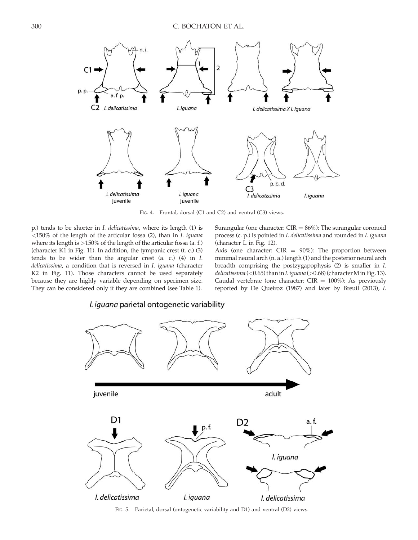

FIG. 4. Frontal, dorsal (C1 and C2) and ventral (C3) views.

p.) tends to be shorter in I. delicatissima, where its length (1) is <150% of the length of the articular fossa (2), than in I. iguana where its length is >150% of the length of the articular fossa (a. f.) (character K1 in Fig. 11). In addition, the tympanic crest (t. c.) (3) tends to be wider than the angular crest (a. c.) (4) in I. delicatissima, a condition that is reversed in I. iguana (character K2 in Fig. 11). Those characters cannot be used separately because they are highly variable depending on specimen size. They can be considered only if they are combined (see Table 1).

*I. iguana* parietal ontogenetic variability

Surangular (one character:  $CIR = 86\%$ ): The surangular coronoid process (c. p.) is pointed in I. delicatissima and rounded in I. iguana (character L in Fig. 12).

Axis (one character:  $CIR = 90\%$ ): The proportion between minimal neural arch (n. a.) length (1) and the posterior neural arch breadth comprising the postzygapophysis (2) is smaller in I. delicatissima (<0.65) than in I. iguana (>0.68) (character M in Fig. 13). Caudal vertebrae (one character:  $CIR = 100\%$ ): As previously reported by De Queiroz (1987) and later by Breuil (2013), I.



FIG. 5. Parietal, dorsal (ontogenetic variability and D1) and ventral (D2) views.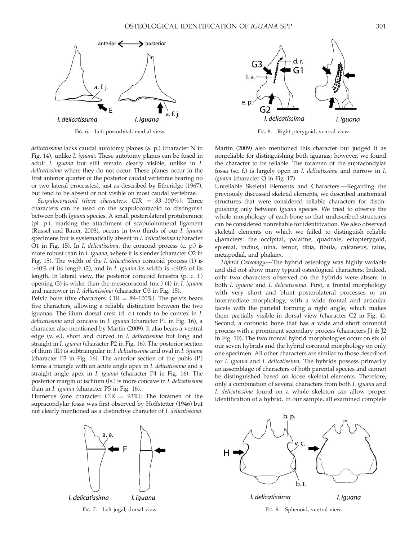

FIG. 6. Left postorbital, medial view.

delicatissima lacks caudal autotomy planes (a. p.) (character N in Fig. 14), unlike I. iguana. These autotomy planes can be fused in adult I. iguana but still remain clearly visible, unlike in I. delicatissima where they do not occur. These planes occur in the first anterior quarter of the posterior caudal vertebrae bearing no or two lateral process(es), just as described by Etheridge (1967), but tend to be absent or not visible on most caudal vertebrae.

Scapulocoracoid (three characters:  $CIR = 83-100\%$ ): Three characters can be used on the scapulocoracoid to distinguish between both Iguana species. A small posterolateral protuberance (pl. p.), marking the attachment of scapulohumeral ligament (Russel and Bauer, 2008), occurs in two thirds of our I. iguana specimens but is systematically absent in I. delicatissima (character O1 in Fig. 15). In I. delicatissima, the coracoid process (c. p.) is more robust than in *I. iguana*, where it is slender (character O2 in Fig. 15). The width of the I. delicatissima coracoid process (1) is  $>40\%$  of its length (2), and in *I. iguana* its width is  $<40\%$  of its length. In lateral view, the posterior coracoid fenestra (p. c. f.) opening (3) is wider than the mesocoracoid (mc.) (4) in I. iguana and narrower in I. delicatissima (character O3 in Fig. 15).

Pelvic bone (five characters:  $CIR = 89{\text -}100\%$ ): The pelvis bears five characters, allowing a reliable distinction between the two iguanas. The ilium dorsal crest (d. c.) tends to be convex in I. delicatissima and concave in I. iguana (character P1 in Fig. 16), a character also mentioned by Martin (2009). It also bears a ventral edge (v. e.), short and curved in I. delicatissima but long and straight in I. iguana (character P2 in Fig. 16). The posterior section of ilium (Il.) is subtriangular in I. delicatissima and oval in I. iguana (character P3 in Fig. 16). The anterior section of the pubis (P.) forms a triangle with an acute angle apex in I. delicatissima and a straight angle apex in I. iguana (character P4 in Fig. 16). The posterior margin of ischium (Is.) is more concave in I. delicatissima than in *I. iguana* (character P5 in Fig. 16).

Humerus (one character:  $CIR = 93\%$ ): The foramen of the supracondylar fossa was first observed by Hoffstetter (1946) but not clearly mentioned as a distinctive character of I. delicatissima.



FIG. 7. Left jugal, dorsal view.



FIG. 8. Right pterygoid, ventral view.

Martin (2009) also mentioned this character but judged it as nonreliable for distinguishing both iguanas; however, we found the character to be reliable. The foramen of the supracondylar fossa (sc. f.) is largely open in I. delicatissima and narrow in I. iguana (character Q in Fig. 17).

Unreliable Skeletal Elements and Characters.—Regarding the previously discussed skeletal elements, we described anatomical structures that were considered reliable characters for distinguishing only between Iguana species. We tried to observe the whole morphology of each bone so that undescribed structures can be considered nonreliable for identification. We also observed skeletal elements on which we failed to distinguish reliable characters: the occipital, palatine, quadrate, ectopterygoid, splenial, radius, ulna, femur, tibia, fibula, calcaneus, talus, metapodial, and phalanx.

Hybrid Osteology.—The hybrid osteology was highly variable and did not show many typical osteological characters. Indeed, only two characters observed on the hybrids were absent in both I. iguana and I. delicatissima. First, a frontal morphology with very short and blunt posterolateral processes or an intermediate morphology, with a wide frontal and articular facets with the parietal forming a right angle, which makes them partially visible in dorsal view (character C2 in Fig. 4). Second, a coronoid bone that has a wide and short coronoid process with a prominent secondary process (characters J1 & J2 in Fig. 10). The two frontal hybrid morphologies occur on six of our seven hybrids and the hybrid coronoid morphology on only one specimen. All other characters are similar to those described for I. iguana and I. delicatissima. The hybrids possess primarily an assemblage of characters of both parental species and cannot be distinguished based on loose skeletal elements. Therefore, only a combination of several characters from both I. iguana and I. delicatissima found on a whole skeleton can allow proper identification of a hybrid. In our sample, all examined complete



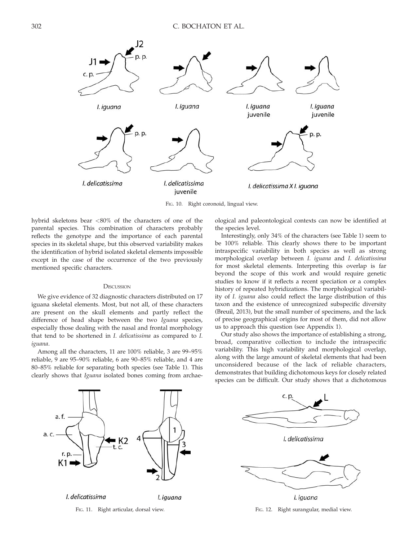

F<sub>IG</sub>. 10. Right coronoid, lingual view.

hybrid skeletons bear <80% of the characters of one of the parental species. This combination of characters probably reflects the genotype and the importance of each parental species in its skeletal shape, but this observed variability makes the identification of hybrid isolated skeletal elements impossible except in the case of the occurrence of the two previously mentioned specific characters.

### **DISCUSSION**

We give evidence of 32 diagnostic characters distributed on 17 iguana skeletal elements. Most, but not all, of these characters are present on the skull elements and partly reflect the difference of head shape between the two Iguana species, especially those dealing with the nasal and frontal morphology that tend to be shortened in I. delicatissima as compared to I. iguana.

Among all the characters, 11 are 100% reliable, 3 are 99–95% reliable, 9 are 95–90% reliable, 6 are 90–85% reliable, and 4 are 80–85% reliable for separating both species (see Table 1). This clearly shows that Iguana isolated bones coming from archaeological and paleontological contexts can now be identified at the species level.

Interestingly, only 34% of the characters (see Table 1) seem to be 100% reliable. This clearly shows there to be important intraspecific variability in both species as well as strong morphological overlap between I. iguana and I. delicatissima for most skeletal elements. Interpreting this overlap is far beyond the scope of this work and would require genetic studies to know if it reflects a recent speciation or a complex history of repeated hybridizations. The morphological variability of I. iguana also could reflect the large distribution of this taxon and the existence of unrecognized subspecific diversity (Breuil, 2013), but the small number of specimens, and the lack of precise geographical origins for most of them, did not allow us to approach this question (see Appendix 1).

Our study also shows the importance of establishing a strong, broad, comparative collection to include the intraspecific variability. This high variability and morphological overlap, along with the large amount of skeletal elements that had been unconsidered because of the lack of reliable characters, demonstrates that building dichotomous keys for closely related species can be difficult. Our study shows that a dichotomous



FIG. 11. Right articular, dorsal view.



I. iguana FIG. 12. Right surangular, medial view.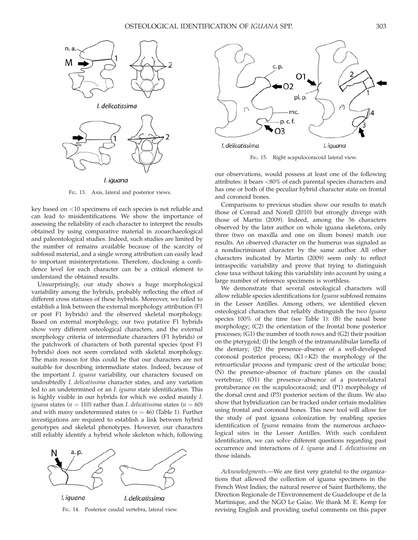

FIG. 13. Axis, lateral and posterior views.

key based on <10 specimens of each species is not reliable and can lead to misidentifications. We show the importance of assessing the reliability of each character to interpret the results obtained by using comparative material in zooarchaeological and paleontological studies. Indeed, such studies are limited by the number of remains available because of the scarcity of subfossil material, and a single wrong attribution can easily lead to important misinterpretations. Therefore, disclosing a confidence level for each character can be a critical element to understand the obtained results.

Unsurprisingly, our study shows a huge morphological variability among the hybrids, probably reflecting the effect of different cross statuses of these hybrids. Moreover, we failed to establish a link between the external morphology attribution (F1 or post F1 hybrids) and the observed skeletal morphology. Based on external morphology, our two putative F1 hybrids show very different osteological characters, and the external morphology criteria of intermediate characters (F1 hybrids) or the patchwork of characters of both parental species (post F1 hybrids) does not seem correlated with skeletal morphology. The main reason for this could be that our characters are not suitable for describing intermediate states. Indeed, because of the important I. iguana variability, our characters focused on undoubtedly I. delicatissima character states, and any variation led to an undetermined or an I. iguana state identification. This is highly visible in our hybrids for which we coded mainly I. iguana states ( $n = 110$ ) rather than *I. delicatissima* states ( $n = 60$ ) and with many undetermined states ( $n = 46$ ) (Table 1). Further investigations are required to establish a link between hybrid genotypes and skeletal phenotypes. However, our characters still reliably identify a hybrid whole skeleton which, following



FIG. 14. Posterior caudal vertebra, lateral view.



FIG. 15. Right scapulocoracoid lateral view.

our observations, would possess at least one of the following attributes: it bears <80% of each parental species characters and has one or both of the peculiar hybrid character state on frontal and coronoid bones.

Comparisons to previous studies show our results to match those of Conrad and Norell (2010) but strongly diverge with those of Martin (2009). Indeed, among the 36 characters observed by the later author on whole iguana skeletons, only three (two on maxilla and one on ilium bones) match our results. An observed character on the humerus was signaled as a nondiscriminant character by the same author. All other characters indicated by Martin (2009) seem only to reflect intraspecific variability and prove that trying to distinguish close taxa without taking this variability into account by using a large number of reference specimens is worthless.

We demonstrate that several osteological characters will allow reliable species identifications for Iguana subfossil remains in the Lesser Antilles. Among others, we identified eleven osteological characters that reliably distinguish the two Iguana species 100% of the time (see Table 1): (B) the nasal bone morphology; (C2) the orientation of the frontal bone posterior processes; (G1) the number of tooth rows and (G2) their position on the pterygoid; (I) the length of the intramandibular lamella of the dentary; (J2) the presence–absence of a well-developed coronoid posterior process; (K1+K2) the morphology of the retroarticular process and tympanic crest of the articular bone; (N) the presence–absence of fracture planes on the caudal vertebrae; (O1) the presence–absence of a posterolateral protuberance on the scapulocoracoid; and (P1) morphology of the dorsal crest and (P3) posterior section of the ilium. We also show that hybridization can be tracked under certain modalities using frontal and coronoid bones. This new tool will allow for the study of past iguana colonization by enabling species identification of Iguana remains from the numerous archaeological sites in the Lesser Antilles. With such confident identification, we can solve different questions regarding past occurrence and interactions of I. iguana and I. delicatissima on those islands.

Acknowledgments.—We are first very grateful to the organizations that allowed the collection of iguana specimens in the French West Indies; the natural reserve of Saint Barthélemy, the Direction Regionale de l'Environnement de Guadeloupe et de la Martinique, and the NGO Le Gaïac. We thank M. E. Kemp for revising English and providing useful comments on this paper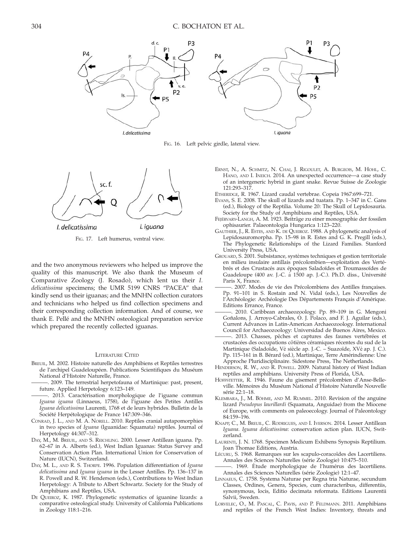

FIG. 16. Left pelvic girdle, lateral view.



FIG. 17. Left humerus, ventral view.

and the two anonymous reviewers who helped us improve the quality of this manuscript. We also thank the Museum of Comparative Zoology (J. Rosado), which lent us their I. delicatissima specimens; the UMR 5199 CNRS ''PACEA'' that kindly send us their iguanas; and the MNHN collection curators and technicians who helped us find collection specimens and their corresponding collection information. And of course, we thank E. Pellé and the MNHN osteological preparation service which prepared the recently collected iguanas.

### LITERATURE CITED

- BREUIL, M. 2002. Histoire naturelle des Amphibiens et Reptiles terrestres de l'archipel Guadeloupéen. Publications Scientifiques du Muséum National d'Histoire Naturelle, France.
- -. 2009. The terrestrial herpetofauna of Martinique: past, present, future. Applied Herpetology 6:123–149.
- . 2013. Caractérisation morphologique de l'iguane commun Iguana iguana (Linnaeus, 1758), de l'iguane des Petites Antilles Iguana delicatissima Laurenti, 1768 et de leurs hybrides. Bulletin de la Société Herpétologique de France 147:309-346.
- CONRAD, J. L., AND M. A. NORELL. 2010. Reptiles cranial autapomorphies in two species of Iguana (Iguanidae: Squamata) reptiles. Journal of Herpetology 44:307–312.
- DAY, M., M. BREUIL, AND S. REICHLING. 2000. Lesser Antillean iguana. Pp. 62–67 in A. Alberts (ed.), West Indian Iguanas: Status Survey and Conservation Action Plan. International Union for Conservation of Nature (IUCN), Switzerland.
- DAY, M. L., AND R. S. THORPE. 1996. Population differentiation of Iguana delicatissima and Iguana iguana in the Lesser Antilles. Pp. 136–137 in R. Powell and R. W. Henderson (eds.), Contributions to West Indian Herpetology: A Tribute to Albert Schwartz. Society for the Study of Amphibians and Reptiles, USA.
- DE QUEIROZ, K. 1987. Phylogenetic systematics of iguanine lizards: a comparative osteological study. University of California Publications in Zoology 118:1–216.
- ERNST, N., A. SCHMITZ, N. CHAI, J. RIGOULET, A. BURGEOIS, M. HOHL, C. HANO, AND I. INEICH. 2014. An unexpected occurrence—a case study of an intergeneric hybrid in giant snake. Revue Suisse de Zoologie 121:293–317.
- ETHERIDGE, R. 1967. Lizard caudal vertebrae. Copeia 1967:699–721.
- EVANS, S. E. 2008. The skull of lizards and tuatara. Pp. 1–347 in C. Gans (ed.), Biology of the Reptilia. Volume 20: The Skull of Lepidosauria. Society for the Study of Amphibians and Reptiles, USA.
- FEJÉRVARY-LANGH, A. M. 1923. Beiträge zu einer monographie der fossilen ophisaurier. Palaeontologia Hungarica 1:123–220.
- GAUTHIER, J., R. ESTES, AND K. DE QUEIROZ. 1988. A phylogenetic analysis of Lepidosauromorpha. Pp. 15–98 in R. Estes and G. K. Pregill (eds.), The Phylogenetic Relationships of the Lizard Families. Stanford University Press, USA.
- GROUARD, S. 2001. Subsistance, systèmes techniques et gestion territoriale en milieu insulaire antillais précolombien—exploitation des Vertébrés et des Crustacés aux époques Saladoïdes et Troumassoïdes de Guadeloupe (400 av. J.-C. a` 1500 ap. J.-C.). Ph.D. diss., Universite´ Paris X, France.
- 2007. Modes de vie des Précolombiens des Antilles françaises. Pp. 91–101 in S. Rostain and N. Vidal (eds.), Les Nouvelles de l'Archéologie: Archéologie Des Départements Français d'Amérique. Editions Errance, France.
- 2010. Caribbean archaeozoology. Pp. 89-109 in G. Mengoni Goñalons, J. Arroyo-Cabrales, O. J. Polaco, and F. J. Aguilar (eds.), Current Advances in Latin-American Archaeozoology. International
- Council for Archaeozoology: Universidad de Buenos Aires, Mexico. -. 2013. Chasses, pêches et captures des faunes vertébrées et crustacées des occupations côtières céramiques récentes du sud de la Martinique (Saladoïde, Vè siècle ap. J.-C. – Suazoïde, XVè ap. J. C.). Pp. 115–161 in B. Bérard (ed.), Martinique, Terre Amérindienne: Une Approche Pluridisciplinaire. Sidestone Press, The Netherlands.
- HENDERSON, R. W., AND R. POWELL. 2009. Natural history of West Indian reptiles and amphibians. University Press of Florida, USA.
- HOFFSTETTER, R. 1946. Faune du gisement précolombien d'Anse-Belleville. Mémoires du Muséum National d'Histoire Naturelle Nouvelle série 22:1-18.
- KLEMBARA, J., M. BÖHME, AND M. RUMMEL. 2010. Revision of the anguine lizard Pseudopus laurillardi (Squamata, Anguidae) from the Miocene of Europe, with comments on paleoecology. Journal of Paleontology 84:159–196.
- KNAPP, C., M. BREUIL, C. RODRIGUES, AND I. IVERSON. 2014. Lesser Antillean Iguana. Iguana delicatissima: conservation action plan. IUCN, Switzerland.
- LAURENTI, J. N. 1768. Specimen Medicum Exhibens Synopsis Reptilium. Joan Thomae Editions, Austria.
- Lécuru, S. 1968. Remarques sur les scapulo-coracoïdes des Lacertiliens. Annales des Sciences Naturelles (série Zoologie) 10:475-510.
- . 1969. Étude morphologique de l'humérus des lacertiliens. Annales des Sciences Naturelles (série Zoologie) 12:1-47.
- LINNAEUS, C. 1758. Systema Naturae per Regna tria Naturae, secundum Classes, Ordines, Genera, Species, cum characteribus, differentiis, synonymous, locis, Editio decimata reformata. Editions Laurentii Salvii, Sweden.
- LORVELEC, O., M. PASCAL, C. PAVIS, AND P. FELDMANN. 2011. Amphibians and reptiles of the French West Indies: Inventory, threats and